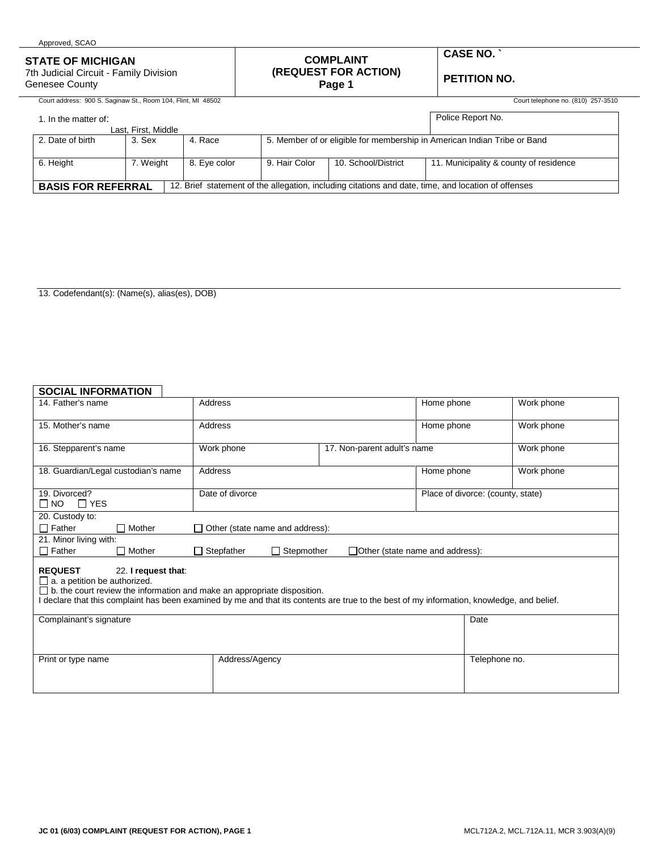| <b>STATE OF MICHIGAN</b><br>7th Judicial Circuit - Family Division<br>Genesee County |                     |              |                                                                          | <b>COMPLAINT</b><br>(REQUEST FOR ACTION)<br>Page 1 | <b>CASE NO. `</b><br><b>PETITION NO.</b>                                                            |  |  |
|--------------------------------------------------------------------------------------|---------------------|--------------|--------------------------------------------------------------------------|----------------------------------------------------|-----------------------------------------------------------------------------------------------------|--|--|
| Court address: 900 S. Saginaw St., Room 104, Flint, MI 48502                         |                     |              |                                                                          |                                                    | Court telephone no. (810) 257-3510                                                                  |  |  |
| 1. In the matter of:                                                                 | Last. First. Middle |              |                                                                          |                                                    | Police Report No.                                                                                   |  |  |
| 2. Date of birth                                                                     | 3. Sex              | 4. Race      | 5. Member of or eligible for membership in American Indian Tribe or Band |                                                    |                                                                                                     |  |  |
| 6. Height                                                                            | 7. Weight           | 8. Eye color | 9. Hair Color                                                            | 10. School/District                                | 11. Municipality & county of residence                                                              |  |  |
| <b>BASIS FOR REFERRAL</b>                                                            |                     |              |                                                                          |                                                    | 12. Brief statement of the allegation, including citations and date, time, and location of offenses |  |  |

13. Codefendant(s): (Name(s), alias(es), DOB)

## **SOCIAL INFORMATION**

Approved, SCAO

| 14. Father's name                                                                                                                                                                                                                                                                                             | Address                                |                                        | Home phone | Work phone                        |  |  |  |  |  |
|---------------------------------------------------------------------------------------------------------------------------------------------------------------------------------------------------------------------------------------------------------------------------------------------------------------|----------------------------------------|----------------------------------------|------------|-----------------------------------|--|--|--|--|--|
| 15. Mother's name                                                                                                                                                                                                                                                                                             | Address                                |                                        | Home phone | Work phone                        |  |  |  |  |  |
| 16. Stepparent's name                                                                                                                                                                                                                                                                                         | Work phone                             | 17. Non-parent adult's name            |            | Work phone                        |  |  |  |  |  |
| 18. Guardian/Legal custodian's name                                                                                                                                                                                                                                                                           | Address                                |                                        | Home phone | Work phone                        |  |  |  |  |  |
| 19. Divorced?<br>$\Box$ YES<br>$\square$ NO                                                                                                                                                                                                                                                                   | Date of divorce                        |                                        |            | Place of divorce: (county, state) |  |  |  |  |  |
| 20. Custody to:                                                                                                                                                                                                                                                                                               |                                        |                                        |            |                                   |  |  |  |  |  |
| $\Box$ Father<br>$\Box$ Mother                                                                                                                                                                                                                                                                                | $\Box$ Other (state name and address): |                                        |            |                                   |  |  |  |  |  |
| 21. Minor living with:                                                                                                                                                                                                                                                                                        |                                        |                                        |            |                                   |  |  |  |  |  |
| $\Box$ Father<br>$\Box$ Mother                                                                                                                                                                                                                                                                                | $\Box$ Stepmother<br>$\Box$ Stepfather | $\Box$ Other (state name and address): |            |                                   |  |  |  |  |  |
| <b>REQUEST</b><br>22. I request that:<br>$\Box$ a. a petition be authorized.<br>$\Box$ b. the court review the information and make an appropriate disposition.<br>I declare that this complaint has been examined by me and that its contents are true to the best of my information, knowledge, and belief. |                                        |                                        |            |                                   |  |  |  |  |  |
| Complainant's signature                                                                                                                                                                                                                                                                                       |                                        |                                        |            | Date                              |  |  |  |  |  |
| Print or type name                                                                                                                                                                                                                                                                                            | Address/Agency                         |                                        |            | Telephone no.                     |  |  |  |  |  |